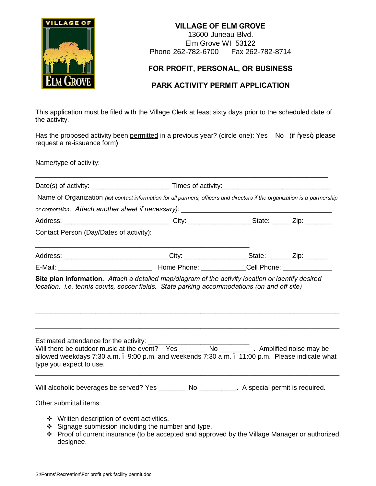

## **VILLAGE OF ELM GROVE**

13600 Juneau Blvd. Elm Grove WI 53122 Phone 262-782-6700 Fax 262-782-8714

## **FOR PROFIT, PERSONAL, OR BUSINESS**

## **PARK ACTIVITY PERMIT APPLICATION**

This application must be filed with the Village Clerk at least sixty days prior to the scheduled date of the activity.

Has the proposed activity been permitted in a previous year? (circle one): Yes No (if % es+, please request a re-issuance form**)**

Name/type of activity:

|                                            | Date(s) of activity: Times of activity:                                                                                      |  |  |
|--------------------------------------------|------------------------------------------------------------------------------------------------------------------------------|--|--|
|                                            | Name of Organization (list contact information for all partners, officers and directors if the organization is a partnership |  |  |
|                                            |                                                                                                                              |  |  |
|                                            |                                                                                                                              |  |  |
| Contact Person (Day/Dates of activity):    |                                                                                                                              |  |  |
|                                            | Address: ______________________________City: ____________________State: ________Zip: _______                                 |  |  |
|                                            |                                                                                                                              |  |  |
| type you expect to use.                    | allowed weekdays 7:30 a.m. . 9:00 p.m. and weekends 7:30 a.m. . 11:00 p.m. Please indicate what                              |  |  |
|                                            | Will alcoholic beverages be served? Yes _________ No __________. A special permit is required.                               |  |  |
| Other submittal items:                     |                                                                                                                              |  |  |
| ❖ Written description of event activities. | Signage submission including the number and type.                                                                            |  |  |

v Proof of current insurance (to be accepted and approved by the Village Manager or authorized designee.